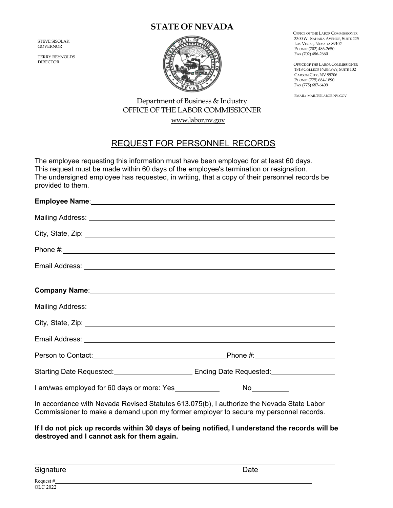## **STATE OF NEVADA**

STEVE SISOLAK GOVERNOR

TERRY REYNOLDS DIRECTOR



 OFFICE OF THE LABOR COMMISSIONER 3300 W. SAHARA AVENUE, SUITE 225 LAS VEGAS, NEVADA 89102 PHONE: (702) 486-2650 FAX (702) 486-2660

 OFFICE OF THE LABOR COMMISSIONER 1818 COLLEGE PARKWAY, SUITE 102 CARSON CITY, NV 89706 PHONE: (775) 684-1890 FAX (775) 687-6409

EMAIL: MAIL1@LABOR.NV.GOV

## Department of Business & Industry OFFICE OF THE LABOR COMMISSIONER www.labor.nv.gov

## REQUEST FOR PERSONNEL RECORDS

The employee requesting this information must have been employed for at least 60 days. This request must be made within 60 days of the employee's termination or resignation. The undersigned employee has requested, in writing, that a copy of their personnel records be provided to them.

| Company Name: Manual Company Name: Manual Company Name: Manual Company Name: Manual Company Name: Manual Company |                                                                     |
|------------------------------------------------------------------------------------------------------------------|---------------------------------------------------------------------|
|                                                                                                                  |                                                                     |
|                                                                                                                  |                                                                     |
|                                                                                                                  |                                                                     |
|                                                                                                                  |                                                                     |
|                                                                                                                  | Starting Date Requested: Cambridge Lines and Ending Date Requested: |
| I am/was employed for 60 days or more: Yes                                                                       |                                                                     |
| In accordance with Nevada Revised Statutes 613.075(b), I authorize the Nevada State Labor                        |                                                                     |

Commissioner to make a demand upon my former employer to secure my personnel records.

**If I do not pick up records within 30 days of being notified, I understand the records will be destroyed and I cannot ask for them again.** 

Signature Date Date Date Date Date Date Date